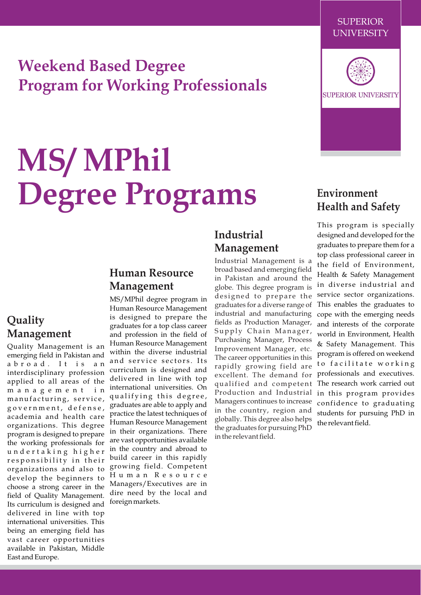# **Weekend Based Degree Program for Working Professionals**

# **MS/ MPhil Degree Programs**

# **Quality Management**

Quality Management is an emerging field in Pakistan and abroad. It is an interdisciplinary profession applied to all areas of the m a n a g e m e n t i n manufacturing, service, g o v e r n m e n t , d e f e n s e , academia and health care organizations. This degree program is designed to prepare the working professionals for u n d e r t a k i n g h i g h e r responsibility in their organizations and also to develop the beginners to choose a strong career in the field of Quality Management. Its curriculum is designed and delivered in line with top international universities. This being an emerging field has vast career opportunities available in Pakistan, Middle East and Europe.

## **Human Resource Management**

MS/MPhil degree program in Human Resource Management is designed to prepare the graduates for a top class career and profession in the field of Human Resource Management within the diverse industrial and service sectors. Its curriculum is designed and delivered in line with top international universities. On qualifying this degree, graduates are able to apply and practice the latest techniques of Human Resource Management in their organizations. There are vast opportunities available in the country and abroad to build career in this rapidly growing field. Competent H u m a n R e s o u r c e Managers/Executives are in dire need by the local and foreign markets.

# **Industrial Management**

Industrial Management is a broad based and emerging field in Pakistan and around the globe. This degree program is designed to prepare the graduates for a diverse range of industrial and manufacturing fields as Production Manager, Supply Chain Manager, Purchasing Manager, Process Improvement Manager, etc. The career opportunities in this rapidly growing field are excellent. The demand for qualified and competent Production and Industrial Managers continues to increase in the country, region and globally. This degree also helps the graduates for pursuing PhD in the relevant field.



SUPERIOR UNIVERSITY

# **Environment Health and Safety**

This program is specially designed and developed for the graduates to prepare them for a top class professional career in the field of Environment, Health & Safety Management in diverse industrial and service sector organizations. This enables the graduates to cope with the emerging needs and interests of the corporate world in Environment, Health & Safety Management. This program is offered on weekend to facilitate working professionals and executives. The research work carried out in this program provides confidence to graduating students for pursuing PhD in the relevant field.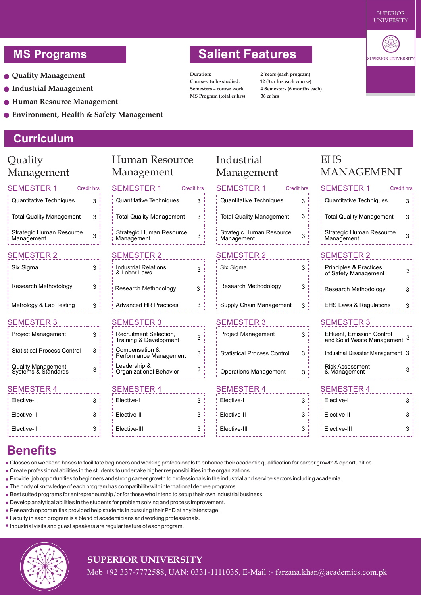- **Quality Management**
- **Industrial Management**
- **Human Resource Management**
- **Environment, Health & Safety Management**

# **Curriculum**

| Quality                                          |                   | <b>Human Resource</b>                            |                   | Industrial                             |                   | EHS                                                       |                  |
|--------------------------------------------------|-------------------|--------------------------------------------------|-------------------|----------------------------------------|-------------------|-----------------------------------------------------------|------------------|
| Management                                       |                   | Management                                       |                   | Management                             |                   | <b>MANAGEMENT</b>                                         |                  |
|                                                  |                   |                                                  |                   |                                        |                   |                                                           |                  |
| <b>SEMESTER 1</b>                                | <b>Credit hrs</b> | <b>SEMESTER 1</b>                                | <b>Credit hrs</b> | <b>SEMESTER 1</b>                      | <b>Credit hrs</b> | <b>SEMESTER 1</b>                                         | <b>Credit hr</b> |
| Quantitative Techniques                          | 3                 | Quantitative Techniques                          | 3                 | Quantitative Techniques                | 3                 | Quantitative Techniques                                   |                  |
| <b>Total Quality Management</b>                  | 3                 | <b>Total Quality Management</b>                  | 3                 | <b>Total Quality Management</b>        | 3                 | <b>Total Quality Management</b>                           | 3                |
| Strategic Human Resource<br>Management           | 3                 | Strategic Human Resource<br>Management           | 3                 | Strategic Human Resource<br>Management | 3                 | Strategic Human Resource<br>Management                    |                  |
| <b>SEMESTER 2</b>                                |                   | <b>SEMESTER 2</b>                                |                   | <b>SEMESTER 2</b>                      |                   | <b>SEMESTER 2</b>                                         |                  |
| Six Sigma                                        | 3                 | <b>Industrial Relations</b><br>& Labor Laws      | 3                 | Six Sigma                              | 3                 | <b>Principles &amp; Practices</b><br>of Safety Management |                  |
| Research Methodology                             | 3                 | Research Methodology                             | 3                 | Research Methodology                   | 3                 | Research Methodology                                      |                  |
| Metrology & Lab Testing                          | 3                 | <b>Advanced HR Practices</b>                     | 3                 | Supply Chain Management                | 3                 | <b>EHS Laws &amp; Regulations</b>                         |                  |
| <b>SEMESTER 3</b>                                |                   | <b>SEMESTER 3</b>                                |                   | <b>SEMESTER 3</b>                      |                   | <b>SEMESTER 3</b>                                         |                  |
| Project Management                               | 3                 | Recruitment Selection,<br>Training & Development | 3                 | Project Management                     | 3                 | Effluent, Emission Control<br>and Solid Waste Management  |                  |
| <b>Statistical Process Control</b>               | 3                 | Compensation &<br>Performance Management         | 3                 | <b>Statistical Process Control</b>     | 3                 | Industrial Disaster Management 3                          |                  |
| <b>Quality Management</b><br>Systems & Standards | 3                 | Leadership &<br>Organizational Behavior          | 3                 | <b>Operations Management</b>           | 3                 | <b>Risk Assessment</b><br>& Management                    |                  |
| <b>SEMESTER 4</b>                                |                   | <b>SEMESTER 4</b>                                |                   | <b>SEMESTER 4</b>                      |                   | <b>SEMESTER 4</b>                                         |                  |
| Elective-I                                       | 3                 | Elective-I                                       | 3                 | Elective-I                             | 3                 | Elective-I                                                |                  |
| Elective-II                                      | 3                 | Elective-II                                      | 3                 | Elective-II                            | 3                 | Elective-II                                               |                  |
| Elective-III                                     | 3                 | Elective-III                                     | 3                 | Elective-III                           | 3                 | Elective-III                                              |                  |

# **Benefits**

Classes on weekend bases to facilitate beginners and working professionals to enhance their academic qualification for career growth & opportunities.

and the contract

- Create professional abilities in the students to undertake higher responsibilities in the organizations.
- Provide job opportunities to beginners and strong career growth to professionals in the industrial and service sectors including academia
- The body of knowledge of each program has compatibility with international degree programs.
- Best suited programs for entrepreneurship / or for those who intend to setup their own industrial business.

- Develop analytical abilities in the students for problem solving and process improvement.
- Research opportunities provided help students in pursuing their PhD at any later stage.
- Faculty in each program is a blend of academicians and working professionals.
- Industrial visits and guest speakers are regular feature of each program.

. . . . . . . . . . . . . . 1



#### **SUPERIOR UNIVERSITY**

Mob +92 337-7772588, UAN: 0331-1111035, E-Mail :- farzana.khan@academics.com.pk

# **MS Programs Constructed Salient Features**

**Duration: 2 Years (each program) Courses to be studied: 12 (3 cr hrs each course) MS Program (total cr hrs) 36 cr hrs**

**Semesters – course work 4 Semesters (6 months each)**



Credit hrs 3